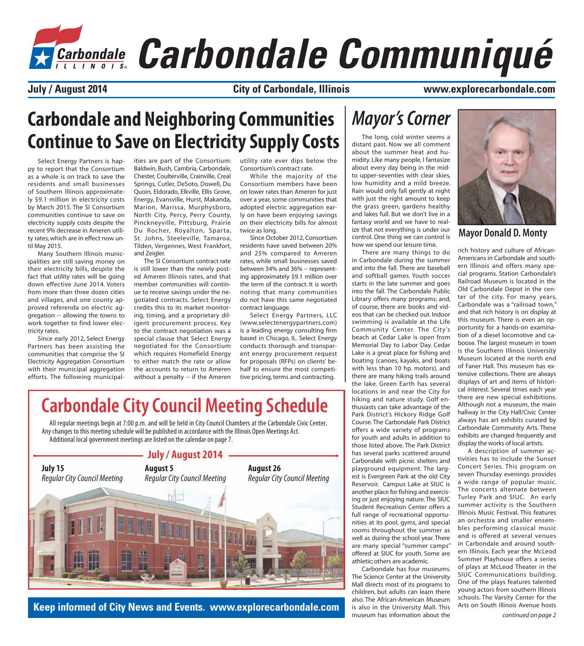# *Carbondale Communiqué*

**City of Carbondale, Illinois**

**July / August 2014 www.explorecarbondale.com**

### **Carbondale and Neighboring Communities Continue to Save on Electricity Supply Costs**

Select Energy Partners is happy to report that the Consortium as a whole is on track to save the residents and small businesses of Southern Illinois approximately \$9.1 million in electricity costs by March 2015. The SI Consortium communities continue to save on electricity supply costs despite the recent 9% decrease in Ameren utility rates, which are in effect now until May 2015.

Many Southern Illinois municipalities are still saving money on their electricity bills, despite the fact that utility rates will be going down effective June 2014. Voters from more than three dozen cities and villages, and one county approved referenda on electric aggregation -- allowing the towns to work together to find lower electricity rates.

Since early 2012, Select Energy Partners has been assisting the communities that comprise the SI Electricity Aggregation Consortium with their municipal aggregation efforts. The following municipalities are part of the Consortium: Baldwin, Bush, Cambria, Carbondale, Chester, Coulterville, Crainville, Creal Springs, Cutler, DeSoto, Dowell, Du Quoin, Eldorado, Elkville, Ellis Grove, Energy, Evansville, Hurst, Makanda, Marion, Marissa, Murphysboro, North City, Percy, Perry County, Pinckneyville, Pittsburg, Prairie Du Rocher, Royalton, Sparta, St. Johns, Steeleville, Tamaroa, Tilden, Vergennes, West Frankfort, and Zeigler.

The SI Consortium contract rate is still lower than the newly posted Ameren Illinois rates, and that member communities will continue to receive savings under the negotiated contracts. Select Energy credits this to its market monitoring, timing, and a proprietary diligent procurement process. Key to the contract negotiation was a special clause that Select Energy negotiated for the Consortium which requires Homefield Energy to either match the rate or allow the accounts to return to Ameren without a penalty -- if the Ameren

utility rate ever dips below the Consortium's contract rate.

While the majority of the Consortium members have been on lower rates than Ameren for just over a year, some communities that adopted electric aggregation early on have been enjoying savings on their electricity bills for almost twice as long.

Since October 2012, Consortium residents have saved between 20% and 25% compared to Ameren rates, while small businesses saved between 34% and 36% -- representing approximately \$9.1 million over the term of the contract. It is worth noting that many communities do not have this same negotiated contract language.

Select Energy Partners, LLC (www.selectenergypartners.com) is a leading energy consulting firm based in Chicago, IL. Select Energy conducts thorough and transparent energy procurement request for proposals (RFPs) on clients' behalf to ensure the most competitive pricing, terms and contracting.

#### *Mayor's Corner*

The long, cold winter seems a distant past. Now we all comment about the summer heat and humidity. Like many people, I fantasize about every day being in the midto upper-seventies with clear skies, low humidity and a mild breeze. Rain would only fall gently at night with just the right amount to keep the grass green, gardens healthy and lakes full. But we don't live in a fantasy world and we have to realize that not everything is under our control. One thing we can control is how we spend our leisure time.

There are many things to do in Carbondale during the summer and into the fall. There are baseball and softball games. Youth soccer starts in the late summer and goes into the fall. The Carbondale Public Library offers many programs; and, of course, there are books and videos that can be checked out. Indoor swimming is available at the Life Community Center. The City 's beach at Cedar Lake is open from Memorial Day to Labor Day. Cedar Lake is a great place for fishing and boating (canoes, kayaks, and boats with less than 10 hp. motors), and there are many hiking trails around the lake. Green Earth has several locations in and near the City for hiking and nature study. Golf enthusiasts can take advantage of the Park District's Hickory Ridge Golf Course. The Carbondale Park District offers a wide variety of programs for youth and adults in addition to those listed above. The Park District has several parks scattered around Carbondale with picnic shelters and playground equipment. The largest is Evergreen Park at the old City Reservoir. Campus Lake at SIUC is another place for fishing and exercising or just enjoying nature. The SIUC Student Recreation Center offers a full range of recreational opportunities at its pool, gyms, and special rooms throughout the summer as well as during the school year. There are many special "summer camps" offered at SIUC for youth. Some are athletic; others are academic.

Carbondale has four museums. The Science Center at the University Mall directs most of its programs to children, but adults can learn there also. The African-American Museum is also in the University Mall. This museum has information about the



#### **Mayor Donald D. Monty**

rich history and culture of African-Americans in Carbondale and southern Illinois and offers many special programs. Station Carbondale's Railroad Museum is located in the Old Carbondale Depot in the center of the city. For many years, Carbondale was a "railroad town," and that rich history is on display at this museum. There is even an opportunity for a hands-on examination of a diesel locomotive and caboose. The largest museum in town is the Southern Illinois University Museum located at the north end of Faner Hall. This museum has extensive collections. There are always displays of art and items of historical interest. Several times each year there are new special exhibitions. Although not a museum, the main hallway in the City Hall/Civic Center always has art exhibits curated by Carbondale Community Arts. These exhibits are changed frequently and display the works of local artists.

A description of summer activities has to include the Sunset Concert Series. This program on seven Thursday evenings provides a wide range of popular music. The concerts alternate between Turley Park and SIUC. An early summer activity is the Southern Illinois Music Festival. This features an orchestra and smaller ensembles performing classical music and is offered at several venues in Carbondale and around southern Illinois. Each year the McLeod Summer Playhouse offers a series of plays at McLeod Theater in the SIUC Communications building. One of the plays features talented young actors from southern Illinois schools. The Varsity Center for the Arts on South Illinois Avenue hosts

#### **Carbondale City Council Meeting Schedule** All regular meetings begin at 7:00 p.m. and will be held in City Council Chambers at the Carbondale Civic Center.

Any changes to this meeting schedule will be published in accordance with the Illinois Open Meetings Act. Additional local government meetings are listed on the calendar on page 7.



**Keep informed of City News and Events. www.explorecarbondale.com**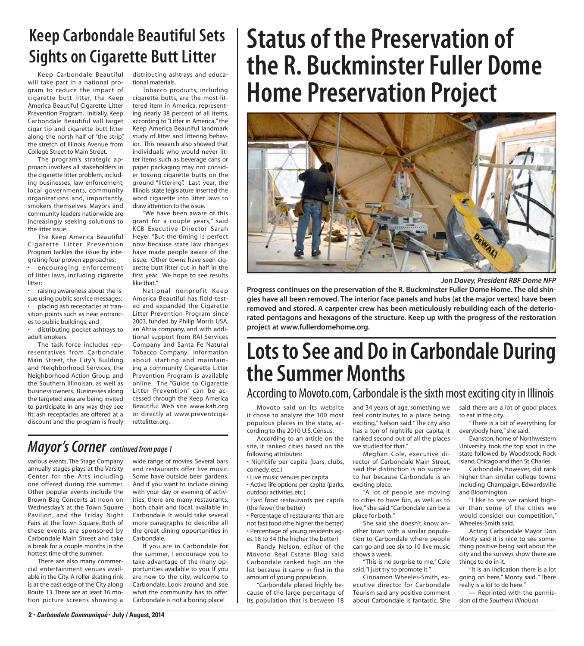### **Keep Carbondale Beautiful Sets Sights on Cigarette Butt Litter**

Keep Carbondale Beautiful will take part in a national program to reduce the impact of cigarette butt litter, the Keep America Beautiful Cigarette Litter Prevention Program. Initially, Keep Carbondale Beautiful will target cigar tip and cigarette butt litter along the north half of "the strip", the stretch of Illinois Avenue from College Street to Main Street.

The program's strategic approach involves all stakeholders in the cigarette litter problem, including businesses, law enforcement, local governments, community organizations and, importantly, smokers themselves. Mayors and community leaders nationwide are increasingly seeking solutions to the litter issue.

The Keep America Beautiful Cigarette Litter Prevention Program tackles the issue by integrating four proven approaches:

encouraging enforcement of litter laws, including cigarette litter:

• raising awareness about the issue using public service messages; • placing ash receptacles at transition points such as near entrances to public buildings; and

• distributing pocket ashtrays to adult smokers.

 The task force includes representatives from Carbondale Main Street, the City's Building and Neighborhood Services, the Neighborhood Action Group, and the Southern Illinoisan, as well as business owners. Businesses along the targeted area are being invited to participate in any way they see fit: ash receptacles are offered at a discount and the program is freely distributing ashtrays and educational materials.

Tobacco products, including cigarette butts, are the most-littered item in America, representing nearly 38 percent of all items, according to "Litter in America," the Keep America Beautiful landmark study of litter and littering behavior. This research also showed that individuals who would never litter items such as beverage cans or paper packaging may not consider tossing cigarette butts on the ground "littering". Last year, the Illinois state legislature inserted the word cigarette into litter laws to draw attention to the issue.

 "We have been aware of this grant for a couple years," said KCB Executive Director Sarah Heyer. "But the timing is perfect now because state law changes have made people aware of the issue. Other towns have seen cigarette butt litter cut in half in the first year. We hope to see results like that"

 National nonprofit Keep America Beautiful has field-tested and expanded the Cigarette Litter Prevention Program since 2003, funded by Philip Morris USA, an Altria company, and with additional support from RAI Services Company and Santa Fe Natural Tobacco Company. Information about starting and maintaining a community Cigarette Litter Prevention Program is available online. The "Guide to Cigarette Litter Prevention" can be accessed through the Keep America Beautiful Web site www.kab.org or directly at www.preventcigarettelitter.org.

#### *Mayor's Corner continued from page 1*

various events. The Stage Company annually stages plays at the Varsity Center for the Arts including one offered during the summer. Other popular events include the Brown Bag Concerts at noon on Wednesday's at the Town Square Pavilion, and the Friday Night Fairs at the Town Square. Both of these events are sponsored by Carbondale Main Street and take a break for a couple months in the hottest time of the summer.

There are also many commercial entertainment venues available in the City. A roller skating rink is at the east edge of the City along Route 13. There are at least 16 motion picture screens showing a wide range of movies. Several bars and restaurants offer live music. Some have outside beer gardens. And if you want to include dining with your day or evening of activities, there are many restaurants, both chain and local, available in Carbondale. It would take several more paragraphs to describe all the great dining opportunities in Carbondale.

If you are in Carbondale for the summer, I encourage you to take advantage of the many opportunities available to you. If you are new to the city, welcome to Carbondale. Look around and see what the community has to offer. Carbondale is not a boring place!

## **Status of the Preservation of the R. Buckminster Fuller Dome Home Preservation Project**



*Jon Davey, President RBF Dome NFP*

**Progress continues on the preservation of the R. Buckminster Fuller Dome Home. The old shingles have all been removed. The interior face panels and hubs (at the major vertex) have been removed and stored. A carpenter crew has been meticulously rebuilding each of the deteriorated pentagons and hexagons of the structure. Keep up with the progress of the restoration project at www.fullerdomehome.org.**

### **Lots to See and Do in Carbondale During the Summer Months**

#### According to Movoto.com, Carbondale is the sixth most exciting city in Illinois

Movoto said on its website it chose to analyze the 100 most populous places in the state, according to the 2010 U.S. Census.

According to an article on the site, it ranked cities based on the following attributes:

• Nightlife per capita (bars, clubs, comedy, etc.)

• Live music venues per capita

• Active life options per capita (parks, outdoor activities, etc.)

• Fast food restaurants per capita (the fewer the better)

• Percentage of restaurants that are not fast food (the higher the better) • Percentage of young residents ag-

es 18 to 34 (the higher the better)

Randy Nelson, editor of the Movoto Real Estate Blog said Carbondale ranked high on the list because it came in first in the amount of young population.

"Carbondale placed highly because of the large percentage of its population that is between 18 and 34 years of age, something we feel contributes to a place being exciting," Nelson said. "The city also has a ton of nightlife per capita, it ranked second out of all the places we studied for that."

Meghan Cole, executive director of Carbondale Main Street, said the distinction is no surprise to her because Carbondale is an exciting place.

"A lot of people are moving to cities to have fun, as well as to live," she said. "Carbondale can be a place for both."

She said she doesn't know another town with a similar population to Carbondale where people can go and see six to 10 live music shows a week.

"This is no surprise to me," Cole said. "I just try to promote it."

Cinnamon Wheeles-Smith, executive director for Carbondale Tourism said any positive comment about Carbondale is fantastic. She

said there are a lot of good places to eat in the city.

"There is a bit of everything for everybody here," she said.

Evanston, home of Northwestern University took the top spot in the state followed by Woodstock, Rock Island, Chicago and then St. Charles.

Carbondale, however, did rank higher than similar college towns including Champaign, Edwardsville and Bloomington

"I like to see we ranked higher than some of the cities we would consider our competition," Wheeles-Smith said.

Acting Carbondale Mayor Don Monty said it is nice to see something positive being said about the city and the surveys show there are things to do in it.

"It is an indication there is a lot going on here," Monty said. "There really is a lot to do here."

— Reprinted with the permission of the *Southern Illinoisan*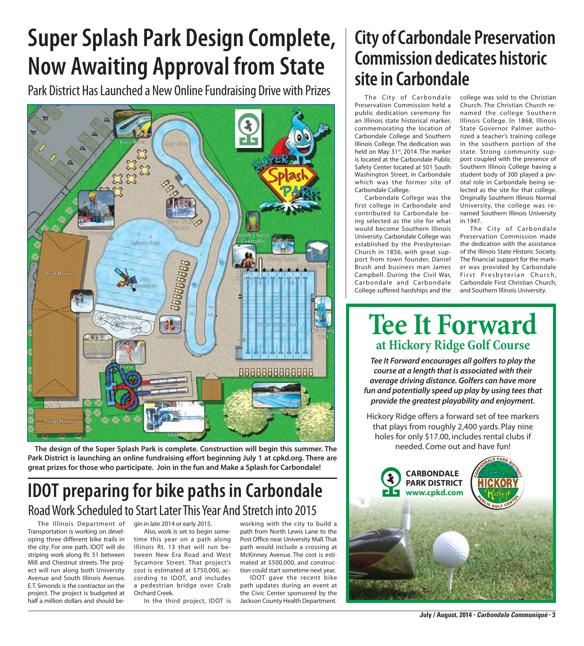## **Super Splash Park Design Complete, Now Awaiting Approval from State**

Park District Has Launched a New Online Fundraising Drive with Prizes



**The design of the Super Splash Park is complete. Construction will begin this summer. The Park District is launching an online fundraising effort beginning July 1 at cpkd.org. There are great prizes for those who participate. Join in the fun and Make a Splash for Carbondale!**

#### **IDOT preparing for bike paths in Carbondale** Road Work Scheduled to Start Later This Year And Stretch into 2015

The Illinois Department of Transportation is working on developing three different bike trails in the city. For one path, IDOT will do striping work along Rt. 51 between Mill and Chestnut streets. The project will run along both University Avenue and South Illinois Avenue. E.T. Simonds is the contractor on the project. The project is budgeted at half a million dollars and should begin in late 2014 or early 2015.

Also, work is set to begin sometime this year on a path along Illinois Rt. 13 that will run between New Era Road and West Sycamore Street. That project's cost is estimated at \$750,000, according to IDOT, and includes a pedestrian bridge over Crab Orchard Creek.

In the third project, IDOT is

working with the city to build a path from North Lewis Lane to the Post Office near University Mall. That path would include a crossing at McKinney Avenue. The cost is estimated at \$500,000, and construction could start sometime next year.

IDOT gave the recent bike path updates during an event at the Civic Center sponsored by the Jackson County Health Department.

### **City of Carbondale Preservation Commission dedicates historic site in Carbondale**

The City of Carbondale Preservation Commission held a public dedication ceremony for an Illinois state historical marker, commemorating the location of Carbondale College and Southern Illinois College. The dedication was held on May 31<sup>st</sup>, 2014. The marker is located at the Carbondale Public Safety Center located at 501 South Washington Street, in Carbondale which was the former site of Carbondale College.

Carbondale College was the first college in Carbondale and contributed to Carbondale being selected as the site for what would become Southern Illinois University. Carbondale College was established by the Presbyterian Church in 1856, with great support from town founder, Daniel Brush and business man James Campbell. During the Civil War, Carbondale and Carbondale College suffered hardships and the

college was sold to the Christian Church. The Christian Church renamed the college Southern Illinois College. In 1868, Illinois State Governor Palmer authorized a teacher's training college in the southern portion of the state. Strong community support coupled with the presence of Southern Illinois College having a student body of 300 played a pivotal role in Carbondale being selected as the site for that college. Originally Southern Illinois Normal University, the college was renamed Southern Illinois University in 1947.

The City of Carbondale Preservation Commission made the dedication with the assistance of the Illinois State Historic Society. The financial support for the marker was provided by Carbondale First Presbyterian Church, Carbondale First Christian Church, and Southern Illinois University.

### **Tee It Forward at Hickory Ridge Golf Course**

*Tee It Forward encourages all golfers to play the course at a length that is associated with their average driving distance. Golfers can have more fun and potentially speed up play by using tees that provide the greatest playability and enjoyment.*

Hickory Ridge offers a forward set of tee markers that plays from roughly 2,400 yards. Play nine holes for only \$17.00, includes rental clubs if needed. Come out and have fun!

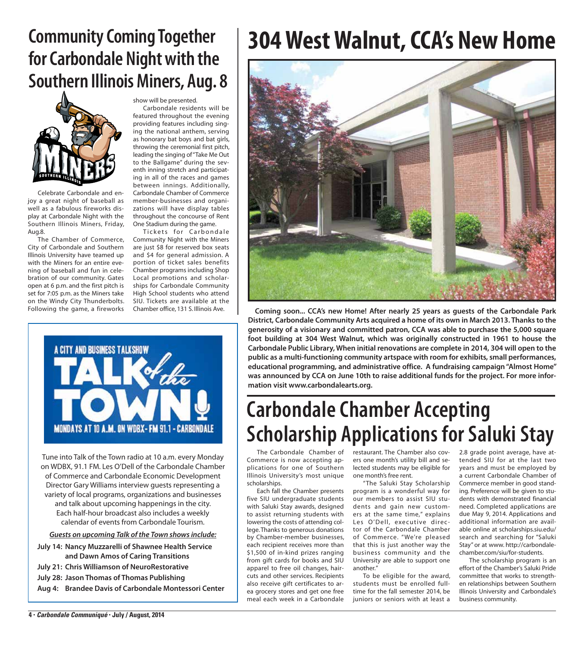### **Community Coming Together for Carbondale Night with the Southern Illinois Miners, Aug. 8**



Celebrate Carbondale and enjoy a great night of baseball as well as a fabulous fireworks display at Carbondale Night with the Southern Illinois Miners, Friday, Aug.8.

The Chamber of Commerce, City of Carbondale and Southern Illinois University have teamed up with the Miners for an entire evening of baseball and fun in celebration of our community. Gates open at 6 p.m. and the first pitch is set for 7:05 p.m. as the Miners take on the Windy City Thunderbolts. Following the game, a fireworks

show will be presented.

Carbondale residents will be featured throughout the evening providing features including singing the national anthem, serving as honorary bat boys and bat girls, throwing the ceremonial first pitch, leading the singing of "Take Me Out to the Ballgame" during the seventh inning stretch and participating in all of the races and games between innings. Additionally, Carbondale Chamber of Commerce member-businesses and organizations will have display tables throughout the concourse of Rent One Stadium during the game.

Tickets for Carbondale Community Night with the Miners are just \$8 for reserved box seats and \$4 for general admission. A portion of ticket sales benefits Chamber programs including Shop Local promotions and scholarships for Carbondale Community High School students who attend SIU. Tickets are available at the



Tune into Talk of the Town radio at 10 a.m. every Monday on WDBX, 91.1 FM. Les O'Dell of the Carbondale Chamber of Commerce and Carbondale Economic Development Director Gary Williams interview guests representing a variety of local programs, organizations and businesses and talk about upcoming happenings in the city. Each half-hour broadcast also includes a weekly calendar of events from Carbondale Tourism.

*Guests on upcoming Talk of the Town shows include:*

- **July 14: Nancy Muzzarelli of Shawnee Health Service and Dawn Amos of Caring Transitions**
- **July 21: Chris Williamson of NeuroRestorative**
- **July 28: Jason Thomas of Thomas Publishing**
- **Aug 4: Brandee Davis of Carbondale Montessori Center**

## **304 West Walnut, CCA's New Home**



Chamber office, 131 S. Illinois Ave. **Coming soon... CCA's new Home! After nearly 25 years as guests of the Carbondale Park District, Carbondale Community Arts acquired a home of its own in March 2013. Thanks to the generosity of a visionary and committed patron, CCA was able to purchase the 5,000 square foot building at 304 West Walnut, which was originally constructed in 1961 to house the Carbondale Public Library, When initial renovations are complete in 2014, 304 will open to the public as a multi-functioning community artspace with room for exhibits, small performances, educational programming, and administrative office. A fundraising campaign "Almost Home" was announced by CCA on June 10th to raise additional funds for the project. For more information visit www.carbondalearts.org.**

### **Carbondale Chamber Accepting Scholarship Applications for Saluki Stay**

The Carbondale Chamber of Commerce is now accepting applications for one of Southern Illinois University's most unique scholarships.

Each fall the Chamber presents five SIU undergraduate students with Saluki Stay awards, designed to assist returning students with lowering the costs of attending college. Thanks to generous donations by Chamber-member businesses, each recipient receives more than \$1,500 of in-kind prizes ranging from gift cards for books and SIU apparel to free oil changes, haircuts and other services. Recipients also receive gift certificates to area grocery stores and get one free meal each week in a Carbondale

restaurant. The Chamber also covers one month's utility bill and selected students may be eligible for one month's free rent.

"The Saluki Stay Scholarship program is a wonderful way for our members to assist SIU students and gain new customers at the same time," explains Les O'Dell, executive director of the Carbondale Chamber of Commerce. "We're pleased that this is just another way the business community and the University are able to support one another."

To be eligible for the award, students must be enrolled fulltime for the fall semester 2014, be juniors or seniors with at least a

2.8 grade point average, have attended SIU for at the last two years and must be employed by a current Carbondale Chamber of Commerce member in good standing. Preference will be given to students with demonstrated financial need. Completed applications are due May 9, 2014. Applications and additional information are available online at scholarships.siu.edu/ search and searching for "Saluki Stay" or at www. http://carbondalechamber.com/siu/for-students.

The scholarship program is an effort of the Chamber's Saluki Pride committee that works to strengthen relationships between Southern Illinois University and Carbondale's business community.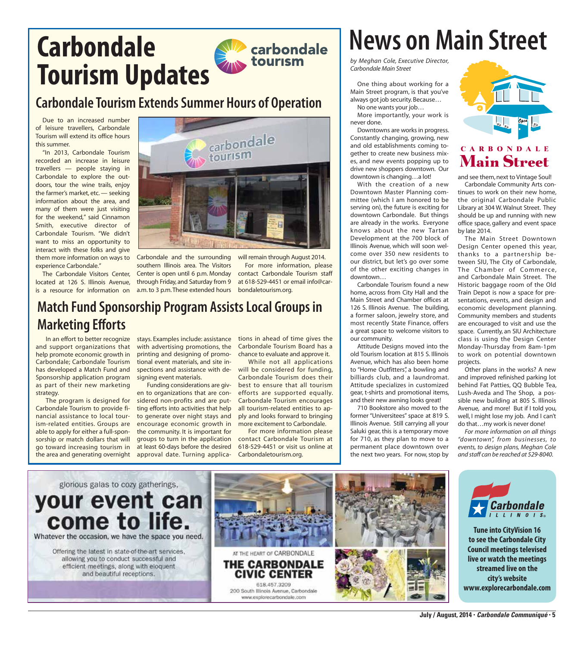## **Carbondale Tourism Updates**

#### **Carbondale Tourism Extends Summer Hours of Operation**

Due to an increased number of leisure travellers, Carbondale Tourism will extend its office hours this summer.

"In 2013, Carbondale Tourism recorded an increase in leisure travellers — people staying in Carbondale to explore the outdoors, tour the wine trails, enjoy the farmer's market, etc. — seeking information about the area, and many of them were just visiting for the weekend," said Cinnamon Smith, executive director of Carbondale Tourism. "We didn't want to miss an opportunity to interact with these folks and give them more information on ways to experience Carbondale."

The Carbondale Visitors Center, is a resource for information on a.m. to 3 p.m. These extended hours bondaletourism.org.



located at 126 S. Illinois Avenue, through Friday, and Saturday from 9 Carbondale and the surrounding southern Illinois area. The Visitors Center is open until 6 p.m. Monday

will remain through August 2014. For more information, please contact Carbondale Tourism staff at 618-529-4451 or email info@car-

#### **Match Fund Sponsorship Program Assists Local Groups in Marketing Efforts**

and support organizations that help promote economic growth in Carbondale; Carbondale Tourism has developed a Match Fund and Sponsorship application program as part of their new marketing strategy.

The program is designed for Carbondale Tourism to provide financial assistance to local tourism-related entities. Groups are able to apply for either a full-sponsorship or match dollars that will go toward increasing tourism in the area and generating overnight

with advertising promotions, the printing and designing of promotional event materials, and site inspections and assistance with designing event materials.

Funding considerations are given to organizations that are considered non-profits and are putting efforts into activities that help to generate over night stays and encourage economic growth in the community. It is important for groups to turn in the application at least 60-days before the desired approval date. Turning applica-

In an effort to better recognize stays. Examples include: assistance tions in ahead of time gives the Carbondale Tourism Board has a chance to evaluate and approve it.

> While not all applications will be considered for funding, Carbondale Tourism does their best to ensure that all tourism efforts are supported equally. Carbondale Tourism encourages all tourism-related entities to apply and looks forward to bringing more excitement to Carbondale.

> For more information please contact Carbondale Tourism at 618-529-4451 or visit us online at Carbondaletourism.org.

## **News on Main Street**

*by Meghan Cole, Executive Director, Carbondale Main Street*

One thing about working for a Main Street program, is that you've always got job security. Because…

No one wants your job…

More importantly, your work is never done.

Downtowns are works in progress. Constantly changing, growing, new and old establishments coming together to create new business mixes, and new events popping up to drive new shoppers downtown. Our downtown is changing…a lot!

With the creation of a new Downtown Master Planning committee (which I am honored to be serving on), the future is exciting for downtown Carbondale. But things are already in the works. Everyone knows about the new Tartan Development at the 700 block of Illinois Avenue, which will soon welcome over 350 new residents to our district, but let's go over some of the other exciting changes in downtown…

Carbondale Tourism found a new home, across from City Hall and the Main Street and Chamber offices at 126 S. Illinois Avenue. The building, a former saloon, jewelry store, and most recently State Finance, offers a great space to welcome visitors to our community.

Attitude Designs moved into the old Tourism location at 815 S. Illinois Avenue, which has also been home to "Home Outfitters", a bowling and billiards club, and a laundromat. Attitude specializes in customized gear, t-shirts and promotional items, and their new awning looks great!

710 Bookstore also moved to the former "Universitees" space at 819 S. Illinois Avenue. Still carrying all your Saluki gear, this is a temporary move for 710, as they plan to move to a permanent place downtown over the next two years. For now, stop by



#### **CARBONDALE Main Street**

and see them, next to Vintage Soul!

Carbondale Community Arts continues to work on their new home, the original Carbondale Public Library at 304 W. Walnut Street. They should be up and running with new office space, gallery and event space by late 2014.

The Main Street Downtown Design Center opened this year, thanks to a partnership between SIU, The City of Carbondale, The Chamber of Commerce, and Carbondale Main Street. The Historic baggage room of the Old Train Depot is now a space for presentations, events, and design and economic development planning. Community members and students are encouraged to visit and use the space. Currently, an SIU Architecture class is using the Design Center Monday-Thursday from 8am-1pm to work on potential downtown projects.

Other plans in the works? A new and improved refinished parking lot behind Fat Patties, QQ Bubble Tea, Lush-Aveda and The Shop, a possible new building at 805 S. Illinois Avenue, and more! But if I told you, well, I might lose my job. And I can't do that…my work is never done!

*For more information on all things "downtown", from businesses, to events, to design plans, Meghan Cole and staff can be reached at 529-8040.*





**Tune into CityVision 16 to see the Carbondale City Council meetings televised live or watch the meetings streamed live on the city's website www.explorecarbondale.com**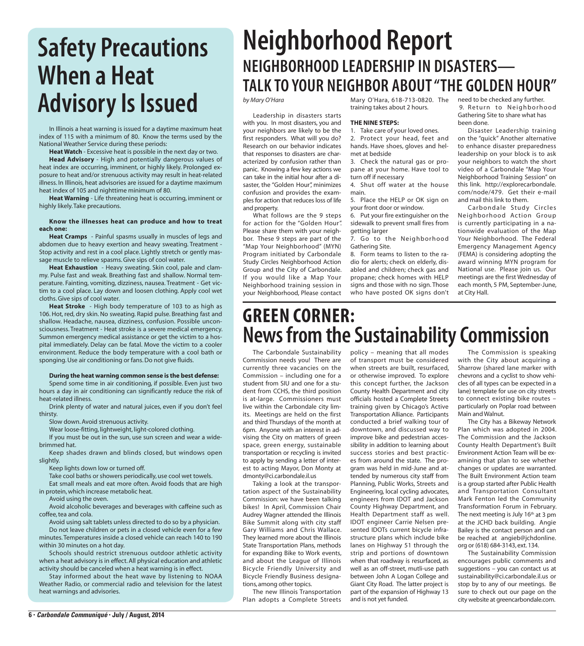### **Safety Precautions When a Heat**  Advisory Is Issued *by Mary O'Hara*

In Illinois a heat warning is issued for a daytime maximum heat index of 115 with a minimum of 80. Know the terms used by the National Weather Service during these periods:

**Heat Watch** - Excessive heat is possible in the next day or two. **Head Advisory** - High and potentially dangerous values of heat index are occurring, imminent, or highly likely. Prolonged exposure to heat and/or strenuous activity may result in heat-related illness. In Illinois, heat advisories are issued for a daytime maximum heat index of 105 and nighttime minimum of 80.

**Heat Warning** - Life threatening heat is occurring, imminent or highly likely. Take precautions.

#### **Know the illnesses heat can produce and how to treat each one:**

**Heat Cramps** - Painful spasms usually in muscles of legs and abdomen due to heavy exertion and heavy sweating. Treatment - Stop activity and rest in a cool place. Lightly stretch or gently massage muscle to relieve spasms. Give sips of cool water.

**Heat Exhaustion** - Heavy sweating. Skin cool, pale and clammy. Pulse fast and weak. Breathing fast and shallow. Normal temperature. Fainting, vomiting, dizziness, nausea. Treatment - Get victim to a cool place. Lay down and loosen clothing. Apply cool wet cloths. Give sips of cool water.

**Heat Stroke** - High body temperature of 103 to as high as 106. Hot, red, dry skin. No sweating. Rapid pulse. Breathing fast and shallow. Headache, nausea, dizziness, confusion. Possible unconsciousness. Treatment - Heat stroke is a severe medical emergency. Summon emergency medical assistance or get the victim to a hospital immediately. Delay can be fatal. Move the victim to a cooler environment. Reduce the body temperature with a cool bath or sponging. Use air conditioning or fans. Do not give fluids.

#### **During the heat warning common sense is the best defense:**

Spend some time in air conditioning, if possible. Even just two hours a day in air conditioning can significantly reduce the risk of heat-related illness.

Drink plenty of water and natural juices, even if you don't feel thirsty.

Slow down. Avoid strenuous activity.

Wear loose-fitting, lightweight, light-colored clothing. If you must be out in the sun, use sun screen and wear a widebrimmed hat.

Keep shades drawn and blinds closed, but windows open slightly.

Keep lights down low or turned off.

Take cool baths or showers periodically, use cool wet towels. Eat small meals and eat more often. Avoid foods that are high

in protein, which increase metabolic heat.

Avoid using the oven.

Avoid alcoholic beverages and beverages with caffeine such as coffee, tea and cola.

Avoid using salt tablets unless directed to do so by a physician. Do not leave children or pets in a closed vehicle even for a few minutes. Temperatures inside a closed vehicle can reach 140 to 190 within 30 minutes on a hot day.

Schools should restrict strenuous outdoor athletic activity when a heat advisory is in effect. All physical education and athletic activity should be canceled when a heat warning is in effect.

Stay informed about the heat wave by listening to NOAA Weather Radio, or commercial radio and television for the latest heat warnings and advisories.

### **Neighborhood Report NEIGHBORHOOD LEADERSHIP IN DISASTERS— TALK TO YOUR NEIGHBOR ABOUT "THE GOLDEN HOUR"**

 Leadership in disasters starts with you. In most disasters, you and your neighbors are likely to be the first responders. What will you do? Research on our behavior indicates that responses to disasters are characterized by confusion rather than panic. Knowing a few key actions we can take in the initial hour after a disaster, the "Golden Hour", minimizes confusion and provides the examples for action that reduces loss of life and property.

 What follows are the 9 steps for action for the "Golden Hour". Please share them with your neighbor. These 9 steps are part of the "Map Your Neighborhood" (MYN) Program initiated by Carbondale Study Circles Neighborhood Action Group and the City of Carbondale. If you would like a Map Your Neighborhood training session in your Neighborhood, Please contact Mary O'Hara, 618-713-0820. The training takes about 2 hours.

#### **THE NINE STEPS:**

1. Take care of your loved ones. 2. Protect your head, feet and hands. Have shoes, gloves and helmet at bedside

3. Check the natural gas or propane at your home. Have tool to turn off if necessary

4. Shut off water at the house main.

5. Place the HELP or OK sign on your front door or window.

6. Put your fire extinguisher on the sidewalk to prevent small fires from getting larger

7. Go to the Neighborhood Gathering Site.

8. Form teams to listen to the radio for alerts; check on elderly, disabled and children; check gas and propane; check homes with HELP signs and those with no sign. Those who have posted OK signs don't need to be checked any further. 9. Return to Neighborhood Gathering Site to share what has been done.

 Disaster Leadership training on the "quick" Another alternative to enhance disaster preparedness leadership on your block is to ask your neighbors to watch the short video of a Carbondale "Map Your Neighborhood Training Session" on this link. http://explorecarbondale. com/node/479. Get their e-mail and mail this link to them.

 Carbondale Study Circles Neighborhood Ac tion Group is currently participating in a nationwide evaluation of the Map Your Neighborhood. The Federal Emergency Management Agency (FEMA) is considering adopting the award winning MYN program for National use. Please join us. Our meetings are the first Wednesday of each month, 5 PM, September-June, at City Hall.

#### **Green Corner: News from the Sustainability Commission**

The Carbondale Sustainability Commission needs you! There are currently three vacancies on the Commission – including one for a student from SIU and one for a student from CCHS, the third position is at-large. Commissioners must live within the Carbondale city limits. Meetings are held on the first and third Thursdays of the month at 6pm. Anyone with an interest in advising the City on matters of green space, green energy, sustainable transportation or recycling is invited to apply by sending a letter of interest to acting Mayor, Don Monty at dmonty@ci.carbondale.il.us

Taking a look at the transportation aspect of the Sustainability Commission: we have been talking bikes! In April, Commission Chair Audrey Wagner attended the Illinois Bike Summit along with city staff Gary Williams and Chris Wallace. They learned more about the Illinois State Transportation Plans, methods for expanding Bike to Work events, and about the League of Illinois Bicycle Friendly University and Bicycle Friendly Business designations, among other topics.

The new Illinois Transportation Plan adopts a Complete Streets policy – meaning that all modes of transport must be considered when streets are built, resurfaced, or otherwise improved. To explore this concept further, the Jackson County Health Department and city officials hosted a Complete Streets training given by Chicago's Active Transportation Alliance. Participants conducted a brief walking tour of downtown, and discussed way to improve bike and pedestrian accessibility in addition to learning about success stories and best practices from around the state. The program was held in mid-June and attended by numerous city staff from Planning, Public Works, Streets and Engineering, local cycling advocates, engineers from IDOT and Jackson County Highway Department, and Health Department staff as well. IDOT engineer Carrie Nelsen presented IDOTs current bicycle infrastructure plans which include bike lanes on Highway 51 through the strip and portions of downtown when that roadway is resurfaced, as well as an off-street, mutli-use path between John A Logan College and Giant City Road. The latter project is part of the expansion of Highway 13 and is not yet funded.

The Commission is speaking with the City about acquiring a Sharrow (shared lane marker with chevrons and a cyclist to show vehicles of all types can be expected in a lane) template for use on city streets to connect existing bike routes – particularly on Poplar road between Main and Walnut.

The City has a Bikeway Network Plan which was adopted in 2004. The Commission and the Jackson County Health Department's Built Environment Action Team will be examining that plan to see whether changes or updates are warranted. The Built Environment Action team is a group started after Public Health and Transportation Consultant Mark Fenton led the Community Transformation Forum in February. The next meeting is July 16<sup>th</sup> at 3 pm at the JCHD back building. Angie Bailey is the contact person and can be reached at angieb@jchdonline. org or (618) 684-3143, ext. 134.

The Sustainability Commission encourages public comments and suggestions – you can contact us at sustainability@ci.carbondale.il.us or stop by to any of our meetings. Be sure to check out our page on the city website at greencarbondale.com.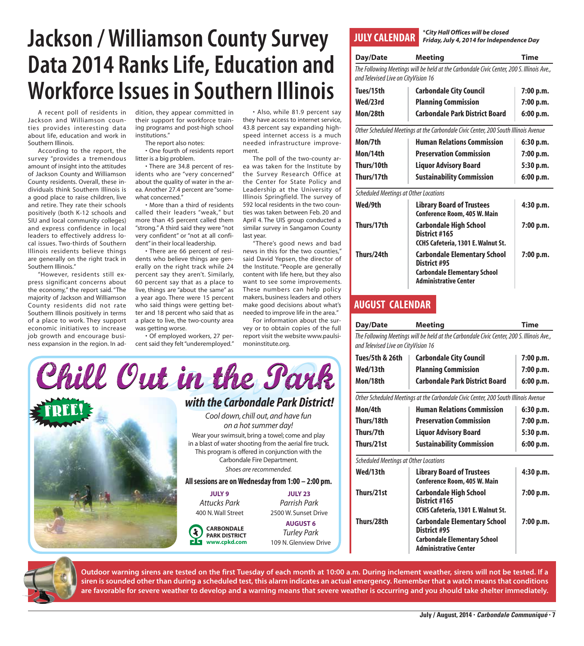### **Jackson / Williamson County Survey Data 2014 Ranks Life, Education and Workforce Issues in Southern Illinois**

A recent poll of residents in Jackson and Williamson counties provides interesting data about life, education and work in Southern Illinois.

According to the report, the survey "provides a tremendous amount of insight into the attitudes of Jackson County and Williamson County residents. Overall, these individuals think Southern Illinois is a good place to raise children, live and retire. They rate their schools positively (both K-12 schools and SIU and local community colleges) and express confidence in local leaders to effectively address local issues. Two-thirds of Southern Illinois residents believe things are generally on the right track in Southern Illinois."

"However, residents still express significant concerns about the economy," the report said. "The majority of Jackson and Williamson County residents did not rate Southern Illinois positively in terms of a place to work. They support economic initiatives to increase job growth and encourage business expansion in the region. In addition, they appear committed in their support for workforce training programs and post-high school institutions."

The report also notes:

• One fourth of residents report litter is a big problem.

• There are 34.8 percent of residents who are "very concerned" about the quality of water in the area. Another 27.4 percent are "somewhat concerned."

• More than a third of residents called their leaders "weak," but more than 45 percent called them "strong." A third said they were "not very confident" or "not at all confident" in their local leadership.

• There are 66 percent of residents who believe things are generally on the right track while 24 percent say they aren't. Similarly, 60 percent say that as a place to live, things are "about the same" as a year ago. There were 15 percent who said things were getting better and 18 percent who said that as a place to live, the two-county area was getting worse.

• Of employed workers, 27 percent said they felt "underemployed."

• Also, while 81.9 percent say they have access to internet service, 43.8 percent say expanding highspeed internet access is a much needed infrastructure improvement.

The poll of the two-county area was taken for the Institute by the Survey Research Office at the Center for State Policy and Leadership at the University of Illinois Springfield. The survey of 592 local residents in the two counties was taken between Feb. 20 and April 4. The UIS group conducted a similar survey in Sangamon County

news in this for the two counties," said David Yepsen, the director of the Institute. "People are generally content with life here, but they also want to see some improvements. These numbers can help policy makers, business leaders and others make good decisions about what's needed to improve life in the area."

For information about the survey or to obtain copies of the full report visit the website www.paulsimoninstitute.org.



last year. "There's good news and bad



\**City Hall Offices will be closed Friday, July 4, 2014 for Independence Day*

| Day/Date                                     | <b>Meeting</b>                                                                            | Time      |
|----------------------------------------------|-------------------------------------------------------------------------------------------|-----------|
| and Televised Live on CityVision 16          | The Following Meetings will be held at the Carbondale Civic Center, 200 S. Illinois Ave., |           |
| Tues/15th                                    | <b>Carbondale City Council</b>                                                            | 7:00 p.m. |
| Wed/23rd                                     | <b>Planning Commission</b>                                                                | 7:00 p.m. |
| Mon/28th                                     | <b>Carbondale Park District Board</b>                                                     | 6:00 p.m. |
|                                              | Other Scheduled Meetings at the Carbondale Civic Center, 200 South Illinois Avenue        |           |
| Mon/7th                                      | <b>Human Relations Commission</b>                                                         | 6:30 p.m. |
| Mon/14th                                     | <b>Preservation Commission</b>                                                            | 7:00 p.m. |
| Thurs/10th                                   | <b>Liquor Advisory Board</b>                                                              | 5:30 p.m. |
| Thurs/17th                                   | <b>Sustainability Commission</b>                                                          | 6:00 p.m. |
| <b>Scheduled Meetings at Other Locations</b> |                                                                                           |           |
| Wed/9th                                      | <b>Library Board of Trustees</b><br><b>Conference Room, 405 W. Main</b>                   | 4:30 p.m. |
| Thurs/17th                                   | <b>Carbondale High School</b><br>District #165<br>CCHS Cafeteria, 1301 E. Walnut St.      | 7:00 p.m. |

#### **August Calendar**

| Day/Date                                                                                                                         | <b>Meeting</b>          | Time       |  |  |
|----------------------------------------------------------------------------------------------------------------------------------|-------------------------|------------|--|--|
| The Following Meetings will be held at the Carbondale Civic Center, 200 S. Illinois Ave.,<br>and Televised Live on CityVision 16 |                         |            |  |  |
| $T_{\text{max}}/R_{\text{min}}$ 0 $\gamma_{\text{min}}$                                                                          | Carhandala City Cauncil | $7.00 - m$ |  |  |

**Thurs/24th Carbondale Elementary School 7:00 p.m.**

**Carbondale Elementary School Administrative Center**

 **District #95**

| Tues/5th & 26th                       | <b>Carbondale City Council</b>                                                                                             | 7:00 p.m. |
|---------------------------------------|----------------------------------------------------------------------------------------------------------------------------|-----------|
| Wed/13th                              | <b>Planning Commission</b>                                                                                                 | 7:00 p.m. |
| Mon/18th                              | <b>Carbondale Park District Board</b>                                                                                      | 6:00 p.m. |
|                                       | Other Scheduled Meetings at the Carbondale Civic Center, 200 South Illinois Avenue                                         |           |
| Mon/4th                               | <b>Human Relations Commission</b>                                                                                          | 6:30 p.m. |
| Thurs/18th                            | <b>Preservation Commission</b>                                                                                             | 7:00 p.m. |
| Thurs/7th                             | <b>Liquor Advisory Board</b>                                                                                               | 5:30 p.m. |
| Thurs/21st                            | <b>Sustainability Commission</b>                                                                                           | 6:00 p.m. |
| Scheduled Meetings at Other Locations |                                                                                                                            |           |
| Wed/13th                              | <b>Library Board of Trustees</b><br><b>Conference Room, 405 W. Main</b>                                                    | 4:30 p.m. |
| Thurs/21st                            | Carbondale High School<br>District #165<br>CCHS Cafeteria, 1301 E. Walnut St.                                              | 7:00 p.m. |
| Thurs/28th                            | <b>Carbondale Elementary School</b><br>District #95<br><b>Carbondale Elementary School</b><br><b>Administrative Center</b> | 7:00 p.m. |



**Outdoor warning sirens are tested on the first Tuesday of each month at 10:00 a.m. During inclement weather, sirens will not be tested. If a siren is sounded other than during a scheduled test, this alarm indicates an actual emergency. Remember that a watch means that conditions are favorable for severe weather to develop and a warning means that severe weather is occurring and you should take shelter immediately.**